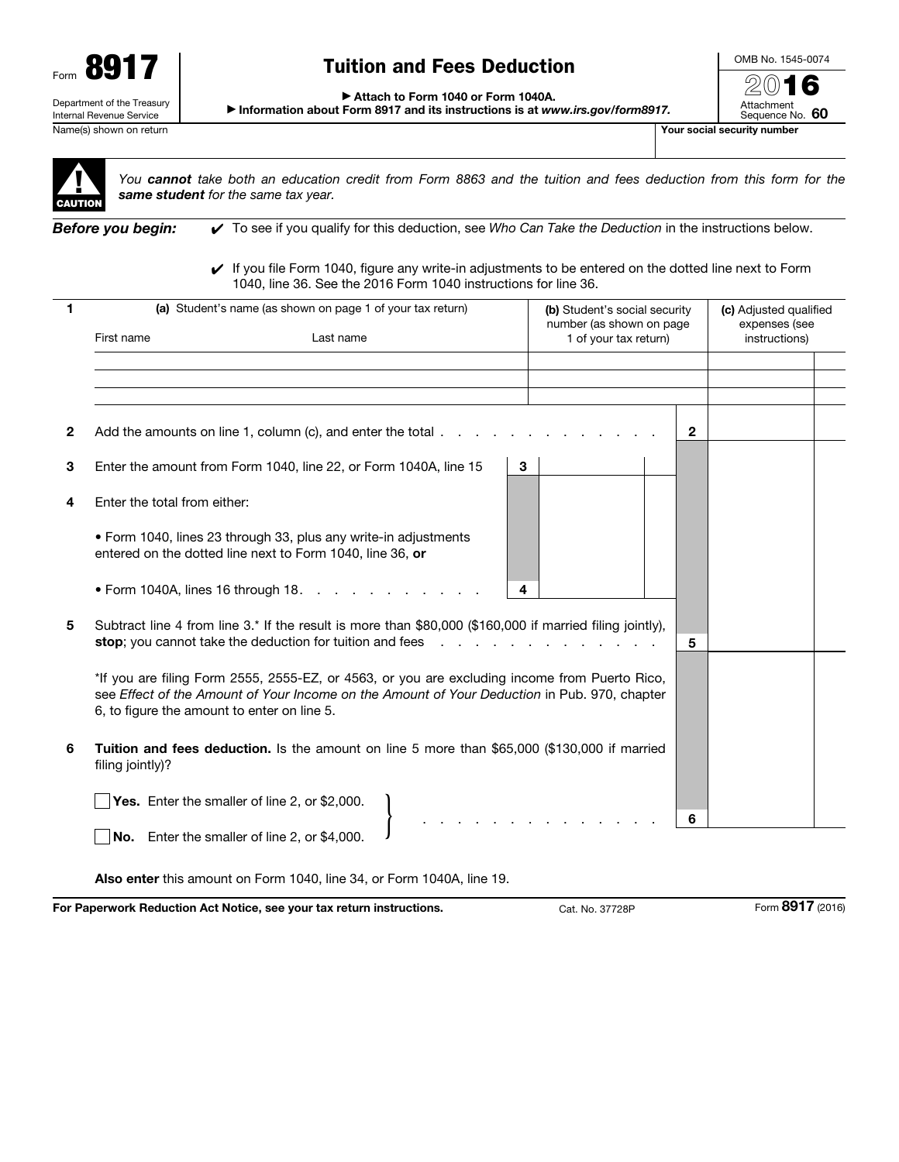

# Tuition and Fees Deduction

OMB No. 1545-0074 2016

Attachment Sequence No. 60

▶ Attach to Form 1040 or Form 1040A.

▶ Information about Form 8917 and its instructions is at *www.irs.gov/form8917.*

Name(s) shown on return The Contract of the Contract of the Contract of the Contract of the Contract of the Contract of The Contract of The Contract of The Contract of The Contract of The Contract of The Contract of The Co



*You cannot take both an education credit from Form 8863 and the tuition and fees deduction from this form for the same student for the same tax year.*

*Before you begin:* ✔ To see if you qualify for this deduction, see *Who Can Take the Deduction* in the instructions below.

✔ If you file Form 1040, figure any write-in adjustments to be entered on the dotted line next to Form 1040, line 36. See the 2016 Form 1040 instructions for line 36.

|              | (a) Student's name (as shown on page 1 of your tax return)                                                                                                                                                                                   | (b) Student's social security                     | (c) Adjusted qualified         |
|--------------|----------------------------------------------------------------------------------------------------------------------------------------------------------------------------------------------------------------------------------------------|---------------------------------------------------|--------------------------------|
|              | First name<br>Last name                                                                                                                                                                                                                      | number (as shown on page<br>1 of your tax return) | expenses (see<br>instructions) |
|              |                                                                                                                                                                                                                                              |                                                   |                                |
|              |                                                                                                                                                                                                                                              |                                                   |                                |
| $\mathbf{2}$ | Add the amounts on line 1, column (c), and enter the total $\ldots$                                                                                                                                                                          | $\mathbf{2}$                                      |                                |
| 3            | Enter the amount from Form 1040, line 22, or Form 1040A, line 15<br>3                                                                                                                                                                        |                                                   |                                |
| 4            | Enter the total from either:                                                                                                                                                                                                                 |                                                   |                                |
|              | • Form 1040, lines 23 through 33, plus any write-in adjustments<br>entered on the dotted line next to Form 1040, line 36, or                                                                                                                 |                                                   |                                |
|              | • Form 1040A, lines 16 through 18.<br>4                                                                                                                                                                                                      |                                                   |                                |
| 5            | Subtract line 4 from line 3.* If the result is more than \$80,000 (\$160,000 if married filing jointly),<br>stop; you cannot take the deduction for tuition and fees                                                                         | 5                                                 |                                |
|              | *If you are filing Form 2555, 2555-EZ, or 4563, or you are excluding income from Puerto Rico,<br>see Effect of the Amount of Your Income on the Amount of Your Deduction in Pub. 970, chapter<br>6, to figure the amount to enter on line 5. |                                                   |                                |
| 6            | Tuition and fees deduction. Is the amount on line 5 more than \$65,000 (\$130,000 if married<br>filing jointly)?                                                                                                                             |                                                   |                                |
|              | Yes. Enter the smaller of line 2, or \$2,000.                                                                                                                                                                                                |                                                   |                                |
|              | No. Enter the smaller of line 2, or \$4,000.                                                                                                                                                                                                 | 6                                                 |                                |

Also enter this amount on Form 1040, line 34, or Form 1040A, line 19.

For Paperwork Reduction Act Notice, see your tax return instructions. Cat. No. 37728P Form 8917 (2016)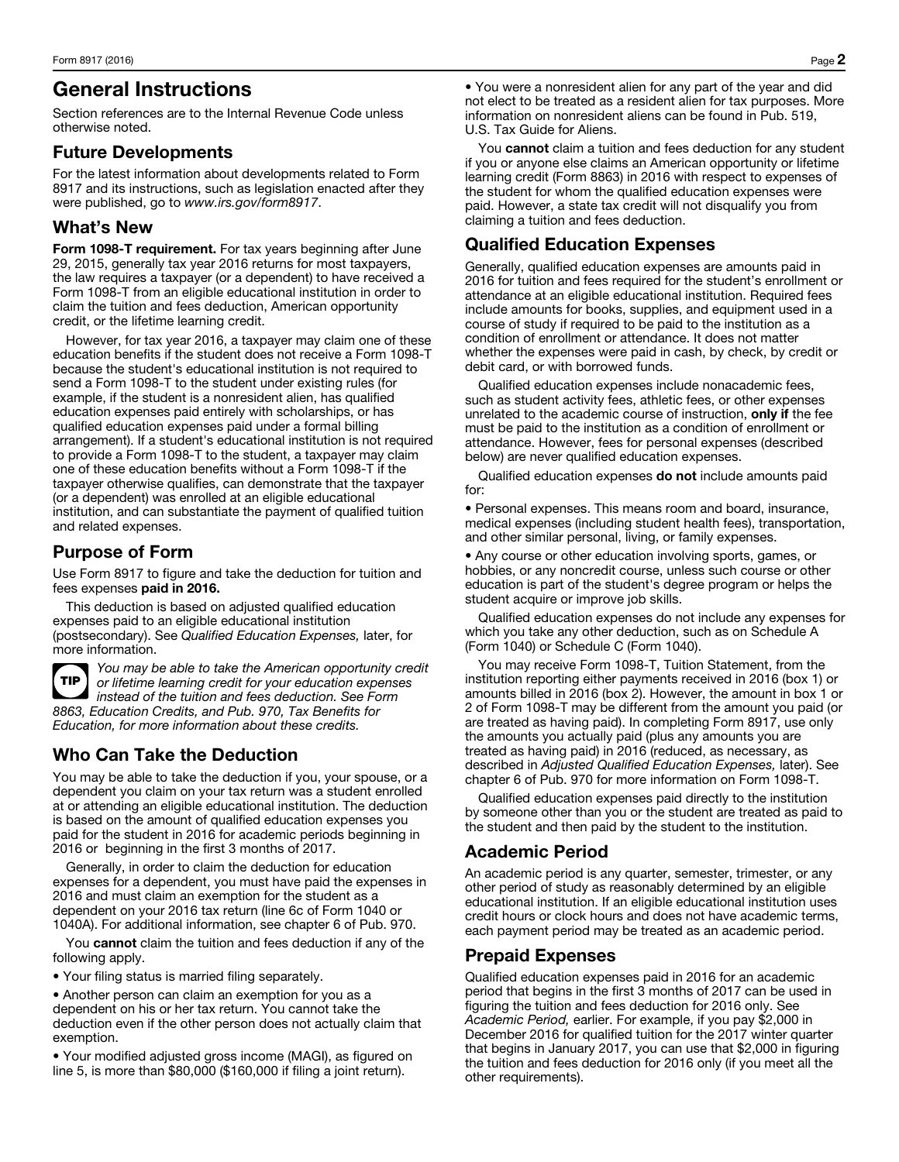# General Instructions

Section references are to the Internal Revenue Code unless otherwise noted.

#### Future Developments

For the latest information about developments related to Form 8917 and its instructions, such as legislation enacted after they were published, go to *www.irs.gov/form8917*.

#### What's New

Form 1098-T requirement. For tax years beginning after June 29, 2015, generally tax year 2016 returns for most taxpayers, the law requires a taxpayer (or a dependent) to have received a Form 1098-T from an eligible educational institution in order to claim the tuition and fees deduction, American opportunity credit, or the lifetime learning credit.

However, for tax year 2016, a taxpayer may claim one of these education benefits if the student does not receive a Form 1098-T because the student's educational institution is not required to send a Form 1098-T to the student under existing rules (for example, if the student is a nonresident alien, has qualified education expenses paid entirely with scholarships, or has qualified education expenses paid under a formal billing arrangement). If a student's educational institution is not required to provide a Form 1098-T to the student, a taxpayer may claim one of these education benefits without a Form 1098-T if the taxpayer otherwise qualifies, can demonstrate that the taxpayer (or a dependent) was enrolled at an eligible educational institution, and can substantiate the payment of qualified tuition and related expenses.

### Purpose of Form

Use Form 8917 to figure and take the deduction for tuition and fees expenses paid in 2016.

This deduction is based on adjusted qualified education expenses paid to an eligible educational institution (postsecondary). See *Qualified Education Expenses,* later, for more information.



*You may be able to take the American opportunity credit or lifetime learning credit for your education expenses instead of the tuition and fees deduction. See Form 8863, Education Credits, and Pub. 970, Tax Benefits for Education, for more information about these credits.*

## Who Can Take the Deduction

You may be able to take the deduction if you, your spouse, or a dependent you claim on your tax return was a student enrolled at or attending an eligible educational institution. The deduction is based on the amount of qualified education expenses you paid for the student in 2016 for academic periods beginning in 2016 or beginning in the first 3 months of 2017.

Generally, in order to claim the deduction for education expenses for a dependent, you must have paid the expenses in 2016 and must claim an exemption for the student as a dependent on your 2016 tax return (line 6c of Form 1040 or 1040A). For additional information, see chapter 6 of Pub. 970.

You cannot claim the tuition and fees deduction if any of the following apply.

• Your filing status is married filing separately.

• Another person can claim an exemption for you as a dependent on his or her tax return. You cannot take the deduction even if the other person does not actually claim that exemption.

• Your modified adjusted gross income (MAGI), as figured on line 5, is more than \$80,000 (\$160,000 if filing a joint return).

• You were a nonresident alien for any part of the year and did not elect to be treated as a resident alien for tax purposes. More information on nonresident aliens can be found in Pub. 519, U.S. Tax Guide for Aliens.

You cannot claim a tuition and fees deduction for any student if you or anyone else claims an American opportunity or lifetime learning credit (Form 8863) in 2016 with respect to expenses of the student for whom the qualified education expenses were paid. However, a state tax credit will not disqualify you from claiming a tuition and fees deduction.

#### Qualified Education Expenses

Generally, qualified education expenses are amounts paid in 2016 for tuition and fees required for the student's enrollment or attendance at an eligible educational institution. Required fees include amounts for books, supplies, and equipment used in a course of study if required to be paid to the institution as a condition of enrollment or attendance. It does not matter whether the expenses were paid in cash, by check, by credit or debit card, or with borrowed funds.

Qualified education expenses include nonacademic fees, such as student activity fees, athletic fees, or other expenses unrelated to the academic course of instruction, only if the fee must be paid to the institution as a condition of enrollment or attendance. However, fees for personal expenses (described below) are never qualified education expenses.

Qualified education expenses do not include amounts paid for:

• Personal expenses. This means room and board, insurance, medical expenses (including student health fees), transportation, and other similar personal, living, or family expenses.

• Any course or other education involving sports, games, or hobbies, or any noncredit course, unless such course or other education is part of the student's degree program or helps the student acquire or improve job skills.

Qualified education expenses do not include any expenses for which you take any other deduction, such as on Schedule A (Form 1040) or Schedule C (Form 1040).

You may receive Form 1098-T, Tuition Statement, from the institution reporting either payments received in 2016 (box 1) or amounts billed in 2016 (box 2). However, the amount in box 1 or 2 of Form 1098-T may be different from the amount you paid (or are treated as having paid). In completing Form 8917, use only the amounts you actually paid (plus any amounts you are treated as having paid) in 2016 (reduced, as necessary, as described in *Adjusted Qualified Education Expenses,* later). See chapter 6 of Pub. 970 for more information on Form 1098-T.

Qualified education expenses paid directly to the institution by someone other than you or the student are treated as paid to the student and then paid by the student to the institution.

#### Academic Period

An academic period is any quarter, semester, trimester, or any other period of study as reasonably determined by an eligible educational institution. If an eligible educational institution uses credit hours or clock hours and does not have academic terms, each payment period may be treated as an academic period.

#### Prepaid Expenses

Qualified education expenses paid in 2016 for an academic period that begins in the first 3 months of 2017 can be used in figuring the tuition and fees deduction for 2016 only. See *Academic Period,* earlier. For example, if you pay \$2,000 in December 2016 for qualified tuition for the 2017 winter quarter that begins in January 2017, you can use that \$2,000 in figuring the tuition and fees deduction for 2016 only (if you meet all the other requirements).